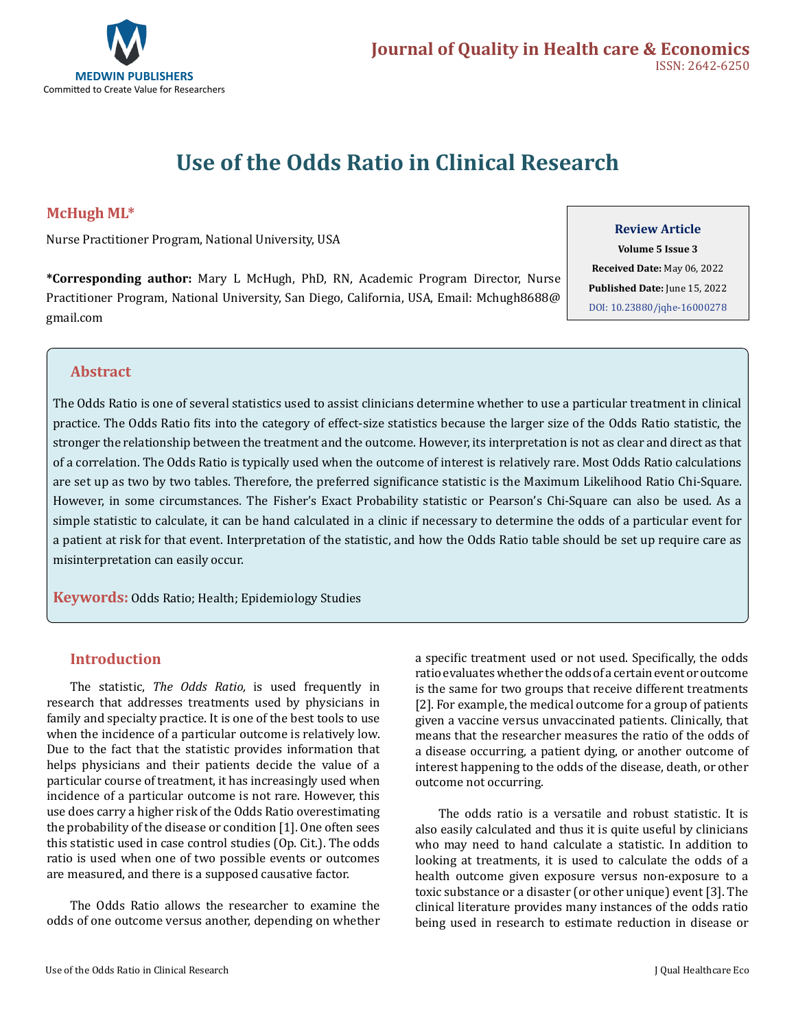

# **Use of the Odds Ratio in Clinical Research**

# **McHugh ML\***

Nurse Practitioner Program, National University, USA

**\*Corresponding author:** Mary L McHugh, PhD, RN, Academic Program Director, Nurse Practitioner Program, National University, San Diego, California, USA, Email: Mchugh8688@ gmail.com

### **Review Article**

**Volume 5 Issue 3 Received Date:** May 06, 2022 **Published Date:** June 15, 2022 [DOI: 10.23880/jqhe-16000278](https://doi.org/10.23880/jqhe-16000278)

# **Abstract**

The Odds Ratio is one of several statistics used to assist clinicians determine whether to use a particular treatment in clinical practice. The Odds Ratio fits into the category of effect-size statistics because the larger size of the Odds Ratio statistic, the stronger the relationship between the treatment and the outcome. However, its interpretation is not as clear and direct as that of a correlation. The Odds Ratio is typically used when the outcome of interest is relatively rare. Most Odds Ratio calculations are set up as two by two tables. Therefore, the preferred significance statistic is the Maximum Likelihood Ratio Chi-Square. However, in some circumstances. The Fisher's Exact Probability statistic or Pearson's Chi-Square can also be used. As a simple statistic to calculate, it can be hand calculated in a clinic if necessary to determine the odds of a particular event for a patient at risk for that event. Interpretation of the statistic, and how the Odds Ratio table should be set up require care as misinterpretation can easily occur.

**Keywords:** Odds Ratio; Health; Epidemiology Studies

# **Introduction**

The statistic, *The Odds Ratio,* is used frequently in research that addresses treatments used by physicians in family and specialty practice. It is one of the best tools to use when the incidence of a particular outcome is relatively low. Due to the fact that the statistic provides information that helps physicians and their patients decide the value of a particular course of treatment, it has increasingly used when incidence of a particular outcome is not rare. However, this use does carry a higher risk of the Odds Ratio overestimating the probability of the disease or condition [1]. One often sees this statistic used in case control studies (Op. Cit.). The odds ratio is used when one of two possible events or outcomes are measured, and there is a supposed causative factor.

The Odds Ratio allows the researcher to examine the odds of one outcome versus another, depending on whether

a specific treatment used or not used. Specifically, the odds ratio evaluates whether the odds of a certain event or outcome is the same for two groups that receive different treatments [2]. For example, the medical outcome for a group of patients given a vaccine versus unvaccinated patients. Clinically, that means that the researcher measures the ratio of the odds of a disease occurring, a patient dying, or another outcome of interest happening to the odds of the disease, death, or other outcome not occurring.

The odds ratio is a versatile and robust statistic. It is also easily calculated and thus it is quite useful by clinicians who may need to hand calculate a statistic. In addition to looking at treatments, it is used to calculate the odds of a health outcome given exposure versus non-exposure to a toxic substance or a disaster (or other unique) event [3]. The clinical literature provides many instances of the odds ratio being used in research to estimate reduction in disease or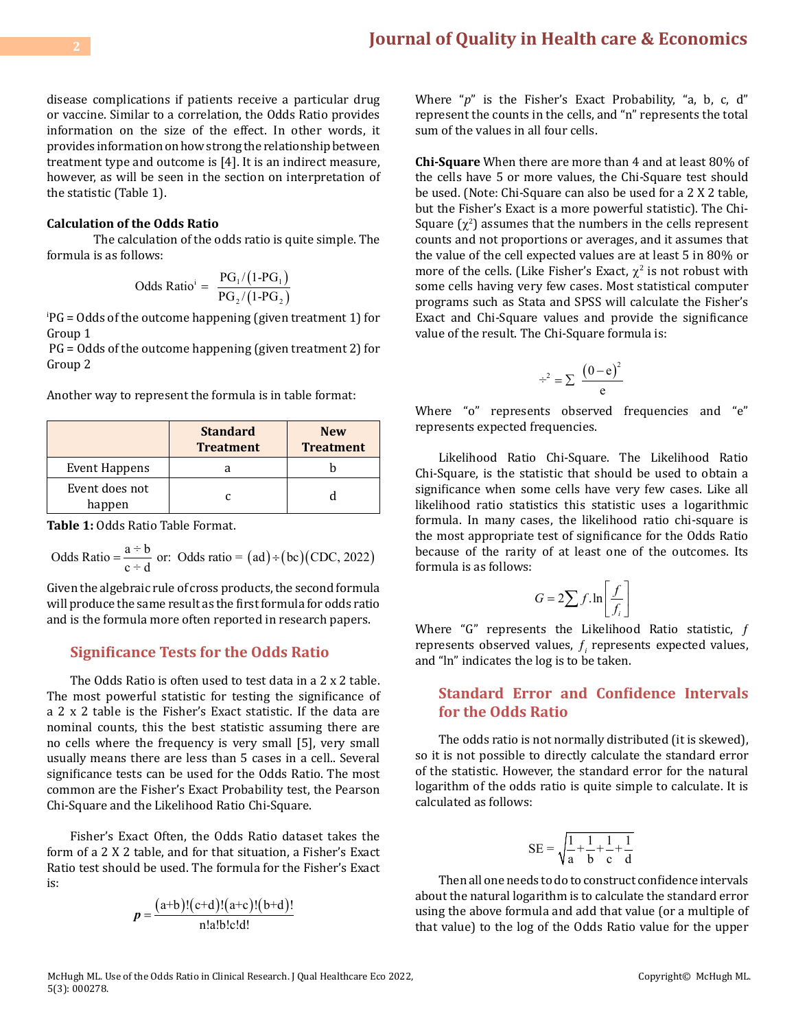disease complications if patients receive a particular drug or vaccine. Similar to a correlation, the Odds Ratio provides information on the size of the effect. In other words, it provides information on how strong the relationship between treatment type and outcome is [4]. It is an indirect measure, however, as will be seen in the section on interpretation of the statistic (Table 1).

## **Calculation of the Odds Ratio**

The calculation of the odds ratio is quite simple. The formula is as follows:

Odds Ratio<sup>i</sup> = 
$$
\frac{PG_1/(1-PG_1)}{PG_2/(1-PG_2)}
$$

i PG = Odds of the outcome happening (given treatment 1) for Group 1

 PG = Odds of the outcome happening (given treatment 2) for Group 2

Another way to represent the formula is in table format:

|                          | <b>Standard</b><br><b>Treatment</b> | <b>New</b><br><b>Treatment</b> |
|--------------------------|-------------------------------------|--------------------------------|
| Event Happens            |                                     |                                |
| Event does not<br>happen |                                     |                                |

**Table 1:** Odds Ratio Table Format.

Odds Ratio = 
$$
\frac{a \div b}{c \div d}
$$
 or: Odds ratio = (ad) ÷ (bc) (CDC, 2022)

Given the algebraic rule of cross products, the second formula will produce the same result as the first formula for odds ratio and is the formula more often reported in research papers.

# **Significance Tests for the Odds Ratio**

The Odds Ratio is often used to test data in a 2 x 2 table. The most powerful statistic for testing the significance of a 2 x 2 table is the Fisher's Exact statistic. If the data are nominal counts, this the best statistic assuming there are no cells where the frequency is very small [5], very small usually means there are less than 5 cases in a cell.. Several significance tests can be used for the Odds Ratio. The most common are the Fisher's Exact Probability test, the Pearson Chi-Square and the Likelihood Ratio Chi-Square.

Fisher's Exact Often, the Odds Ratio dataset takes the form of a 2 X 2 table, and for that situation, a Fisher's Exact Ratio test should be used. The formula for the Fisher's Exact is:

$$
p = \frac{(a+b)!(c+d)!(a+c)!(b+d)!}{n!a!b!c!d!}
$$

Where "*p*" is the Fisher's Exact Probability, "a, b, c, d" represent the counts in the cells, and "n" represents the total sum of the values in all four cells.

**Chi-Square** When there are more than 4 and at least 80% of the cells have 5 or more values, the Chi-Square test should be used. (Note: Chi-Square can also be used for a 2 X 2 table, but the Fisher's Exact is a more powerful statistic). The Chi-Square  $(\chi^2)$  assumes that the numbers in the cells represent counts and not proportions or averages, and it assumes that the value of the cell expected values are at least 5 in 80% or more of the cells. (Like Fisher's Exact,  $\chi^2$  is not robust with some cells having very few cases. Most statistical computer programs such as Stata and SPSS will calculate the Fisher's Exact and Chi-Square values and provide the significance value of the result. The Chi-Square formula is:

$$
\div^2 = \sum \ \frac{\left(0-e\right)^2}{e}
$$

Where "o" represents observed frequencies and "e" represents expected frequencies.

Likelihood Ratio Chi-Square. The Likelihood Ratio Chi-Square, is the statistic that should be used to obtain a significance when some cells have very few cases. Like all likelihood ratio statistics this statistic uses a logarithmic formula. In many cases, the likelihood ratio chi-square is the most appropriate test of significance for the Odds Ratio because of the rarity of at least one of the outcomes. Its formula is as follows:

$$
G = 2\sum f \cdot \ln\left[\frac{f}{f_i}\right]
$$

Where "G" represents the Likelihood Ratio statistic, f represents observed values, ƒ*<sup>i</sup>* represents expected values, and "ln" indicates the log is to be taken.

# **Standard Error and Confidence Intervals for the Odds Ratio**

The odds ratio is not normally distributed (it is skewed), so it is not possible to directly calculate the standard error of the statistic. However, the standard error for the natural logarithm of the odds ratio is quite simple to calculate. It is calculated as follows:

$$
SE=\sqrt{\frac{1}{a}+\frac{1}{b}+\frac{1}{c}+\frac{1}{d}}
$$

Then all one needs to do to construct confidence intervals about the natural logarithm is to calculate the standard error using the above formula and add that value (or a multiple of that value) to the log of the Odds Ratio value for the upper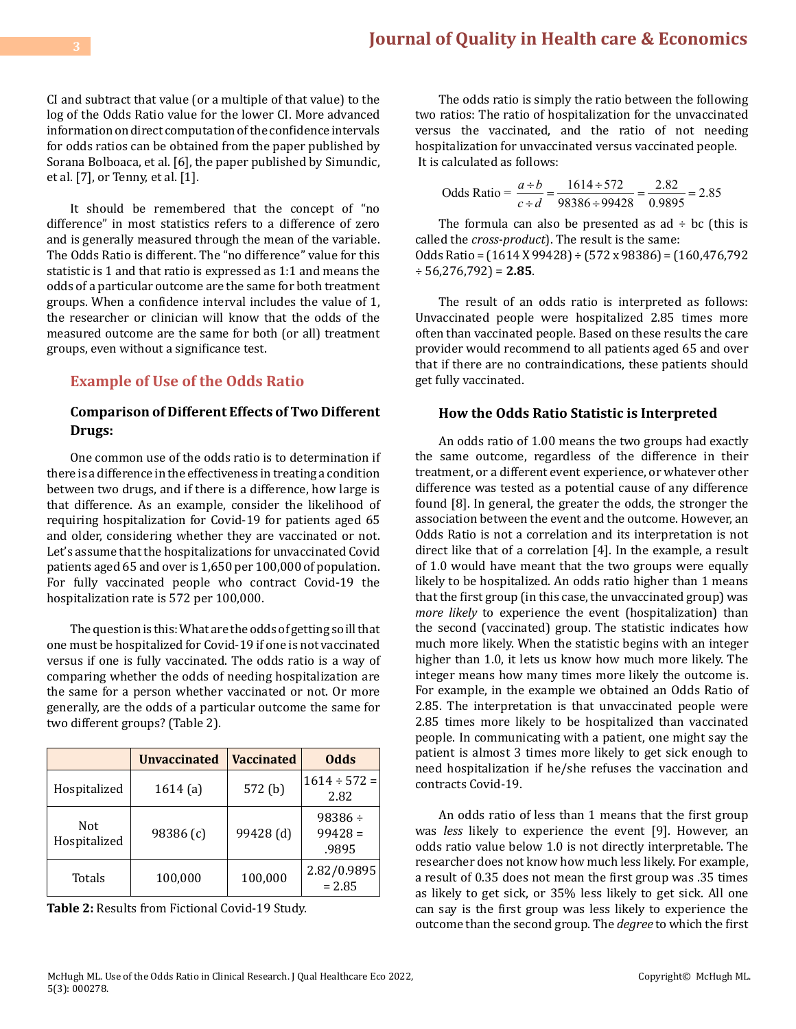CI and subtract that value (or a multiple of that value) to the log of the Odds Ratio value for the lower CI. More advanced information on direct computation of the confidence intervals for odds ratios can be obtained from the paper published by Sorana Bolboaca, et al. [6], the paper published by Simundic, et al. [7], or Tenny, et al. [1].

It should be remembered that the concept of "no difference" in most statistics refers to a difference of zero and is generally measured through the mean of the variable. The Odds Ratio is different. The "no difference" value for this statistic is 1 and that ratio is expressed as 1:1 and means the odds of a particular outcome are the same for both treatment groups. When a confidence interval includes the value of 1, the researcher or clinician will know that the odds of the measured outcome are the same for both (or all) treatment groups, even without a significance test.

# **Example of Use of the Odds Ratio**

# **Comparison of Different Effects of Two Different Drugs:**

One common use of the odds ratio is to determination if there is a difference in the effectiveness in treating a condition between two drugs, and if there is a difference, how large is that difference. As an example, consider the likelihood of requiring hospitalization for Covid-19 for patients aged 65 and older, considering whether they are vaccinated or not. Let's assume that the hospitalizations for unvaccinated Covid patients aged 65 and over is 1,650 per 100,000 of population. For fully vaccinated people who contract Covid-19 the hospitalization rate is 572 per 100,000.

The question is this: What are the odds of getting so ill that one must be hospitalized for Covid-19 if one is not vaccinated versus if one is fully vaccinated. The odds ratio is a way of comparing whether the odds of needing hospitalization are the same for a person whether vaccinated or not. Or more generally, are the odds of a particular outcome the same for two different groups? (Table 2).

|                     | <b>Unvaccinated</b> | <b>Vaccinated</b>  | <b>Odds</b>                        |
|---------------------|---------------------|--------------------|------------------------------------|
| Hospitalized        | 1614(a)             | 572 <sub>(b)</sub> | $1614 \div 572 =$<br>2.82          |
| Not<br>Hospitalized | 98386 (c)           | 99428 (d)          | $98386 \div$<br>$99428 =$<br>.9895 |
| Totals              | 100,000             | 100,000            | 2.82/0.9895<br>$= 2.85$            |

**Table 2:** Results from Fictional Covid-19 Study.

The odds ratio is simply the ratio between the following two ratios: The ratio of hospitalization for the unvaccinated versus the vaccinated, and the ratio of not needing hospitalization for unvaccinated versus vaccinated people. It is calculated as follows:

Odds Ratio = 
$$
\frac{a \div b}{c \div d} = \frac{1614 \div 572}{98386 \div 99428} = \frac{2.82}{0.9895} = 2.85
$$

The formula can also be presented as  $ad \div bc$  (this is called the *cross-product*). The result is the same: Odds Ratio = (1614 X 99428) ÷ (572 x 98386) = (160,476,792 ÷ 56,276,792) = **2.85**.

The result of an odds ratio is interpreted as follows: Unvaccinated people were hospitalized 2.85 times more often than vaccinated people. Based on these results the care provider would recommend to all patients aged 65 and over that if there are no contraindications, these patients should get fully vaccinated.

#### **How the Odds Ratio Statistic is Interpreted**

An odds ratio of 1.00 means the two groups had exactly the same outcome, regardless of the difference in their treatment, or a different event experience, or whatever other difference was tested as a potential cause of any difference found [8]. In general, the greater the odds, the stronger the association between the event and the outcome. However, an Odds Ratio is not a correlation and its interpretation is not direct like that of a correlation [4]. In the example, a result of 1.0 would have meant that the two groups were equally likely to be hospitalized. An odds ratio higher than 1 means that the first group (in this case, the unvaccinated group) was *more likely* to experience the event (hospitalization) than the second (vaccinated) group. The statistic indicates how much more likely. When the statistic begins with an integer higher than 1.0, it lets us know how much more likely. The integer means how many times more likely the outcome is. For example, in the example we obtained an Odds Ratio of 2.85. The interpretation is that unvaccinated people were 2.85 times more likely to be hospitalized than vaccinated people. In communicating with a patient, one might say the patient is almost 3 times more likely to get sick enough to need hospitalization if he/she refuses the vaccination and contracts Covid-19.

An odds ratio of less than 1 means that the first group was *less* likely to experience the event [9]. However, an odds ratio value below 1.0 is not directly interpretable. The researcher does not know how much less likely. For example, a result of 0.35 does not mean the first group was .35 times as likely to get sick, or 35% less likely to get sick. All one can say is the first group was less likely to experience the outcome than the second group. The *degree* to which the first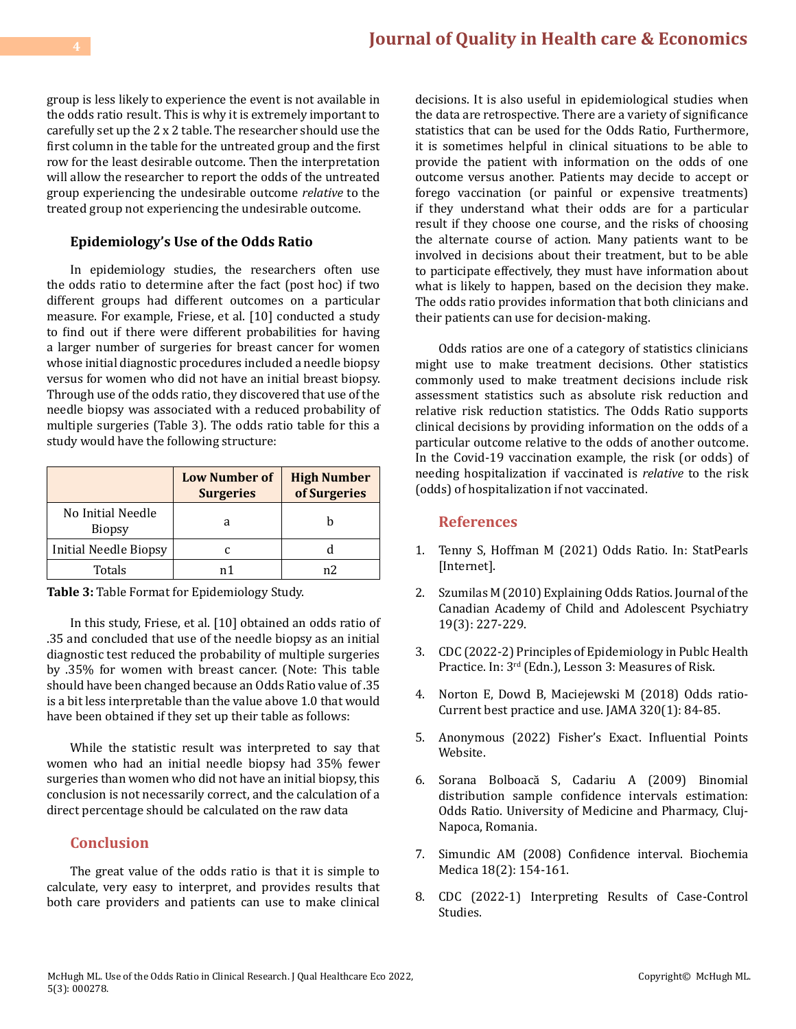group is less likely to experience the event is not available in the odds ratio result. This is why it is extremely important to carefully set up the 2 x 2 table. The researcher should use the first column in the table for the untreated group and the first row for the least desirable outcome. Then the interpretation will allow the researcher to report the odds of the untreated group experiencing the undesirable outcome *relative* to the treated group not experiencing the undesirable outcome.

## **Epidemiology's Use of the Odds Ratio**

In epidemiology studies, the researchers often use the odds ratio to determine after the fact (post hoc) if two different groups had different outcomes on a particular measure. For example, Friese, et al. [10] conducted a study to find out if there were different probabilities for having a larger number of surgeries for breast cancer for women whose initial diagnostic procedures included a needle biopsy versus for women who did not have an initial breast biopsy. Through use of the odds ratio, they discovered that use of the needle biopsy was associated with a reduced probability of multiple surgeries (Table 3). The odds ratio table for this a study would have the following structure:

|                                    | <b>Low Number of</b><br><b>Surgeries</b> | <b>High Number</b><br>of Surgeries |
|------------------------------------|------------------------------------------|------------------------------------|
| No Initial Needle<br><b>Biopsy</b> | a                                        |                                    |
| <b>Initial Needle Biopsy</b>       |                                          |                                    |
| Totals                             | n 1                                      | n?                                 |

**Table 3:** Table Format for Epidemiology Study.

In this study, Friese, et al. [10] obtained an odds ratio of .35 and concluded that use of the needle biopsy as an initial diagnostic test reduced the probability of multiple surgeries by .35% for women with breast cancer. (Note: This table should have been changed because an Odds Ratio value of .35 is a bit less interpretable than the value above 1.0 that would have been obtained if they set up their table as follows:

While the statistic result was interpreted to say that women who had an initial needle biopsy had 35% fewer surgeries than women who did not have an initial biopsy, this conclusion is not necessarily correct, and the calculation of a direct percentage should be calculated on the raw data

# **Conclusion**

The great value of the odds ratio is that it is simple to calculate, very easy to interpret, and provides results that both care providers and patients can use to make clinical

decisions. It is also useful in epidemiological studies when the data are retrospective. There are a variety of significance statistics that can be used for the Odds Ratio, Furthermore, it is sometimes helpful in clinical situations to be able to provide the patient with information on the odds of one outcome versus another. Patients may decide to accept or forego vaccination (or painful or expensive treatments) if they understand what their odds are for a particular result if they choose one course, and the risks of choosing the alternate course of action. Many patients want to be involved in decisions about their treatment, but to be able to participate effectively, they must have information about what is likely to happen, based on the decision they make. The odds ratio provides information that both clinicians and their patients can use for decision-making.

Odds ratios are one of a category of statistics clinicians might use to make treatment decisions. Other statistics commonly used to make treatment decisions include risk assessment statistics such as absolute risk reduction and relative risk reduction statistics. The Odds Ratio supports clinical decisions by providing information on the odds of a particular outcome relative to the odds of another outcome. In the Covid-19 vaccination example, the risk (or odds) of needing hospitalization if vaccinated is *relative* to the risk (odds) of hospitalization if not vaccinated.

## **References**

- 1. [Tenny S, Hoffman M \(2021\) Odds Ratio. In: StatPearls](https://www.ncbi.nlm.nih.gov/books/NBK431098/) [\[Internet\].](https://www.ncbi.nlm.nih.gov/books/NBK431098/)
- 2. [Szumilas M \(2010\) Explaining Odds Ratios. Journal of the](https://www.ncbi.nlm.nih.gov/pmc/articles/PMC2938757/) [Canadian Academy of Child and Adolescent Psychiatry](https://www.ncbi.nlm.nih.gov/pmc/articles/PMC2938757/)  [19\(3\): 227-229.](https://www.ncbi.nlm.nih.gov/pmc/articles/PMC2938757/)
- 3. [CDC \(2022-2\) Principles of Epidemiology in Publc Health](https://www.cdc.gov/csels/dsepd/ss1978/lesson3/section5.html)  Practice. In: 3rd [\(Edn.\), Lesson 3: Measures of Risk.](https://www.cdc.gov/csels/dsepd/ss1978/lesson3/section5.html)
- 4. [Norton E, Dowd B, Maciejewski M \(2018\) Odds ratio-](https://jamanetwork.com/journals/jama/article-abstract/2686777)[Current best practice and use. JAMA 320\(1\): 84-85.](https://jamanetwork.com/journals/jama/article-abstract/2686777)
- 5. [Anonymous \(2022\) Fisher's Exact. Influential Points](https://influentialpoints.com/Training/fishers_exact_test-principles-properties-assumptions.htm) [Website.](https://influentialpoints.com/Training/fishers_exact_test-principles-properties-assumptions.htm)
- 6. [Sorana Bolboacă S, Cadariu A \(2009\) Binomial](http://ljs.academicdirect.org/A04/26_43.htm) [distribution sample confidence intervals estimation:](http://ljs.academicdirect.org/A04/26_43.htm) [Odds Ratio. University of Medicine and Pharmacy, Cluj-](http://ljs.academicdirect.org/A04/26_43.htm)[Napoca, Romania.](http://ljs.academicdirect.org/A04/26_43.htm)
- 7. [Simundic AM \(2008\) Confidence interval. Biochemia](https://www.biochemia-medica.com/en/journal/18/2/10.11613/BM.2008.015/fullArticle) [Medica 18\(2\): 154-161.](https://www.biochemia-medica.com/en/journal/18/2/10.11613/BM.2008.015/fullArticle)
- 8. [CDC \(2022-1\) Interpreting Results of Case-Control](https://www.cdc.gov/training/SIC_CaseStudy/Interpreting_Odds_ptversion.pdf) [Studies.](https://www.cdc.gov/training/SIC_CaseStudy/Interpreting_Odds_ptversion.pdf)